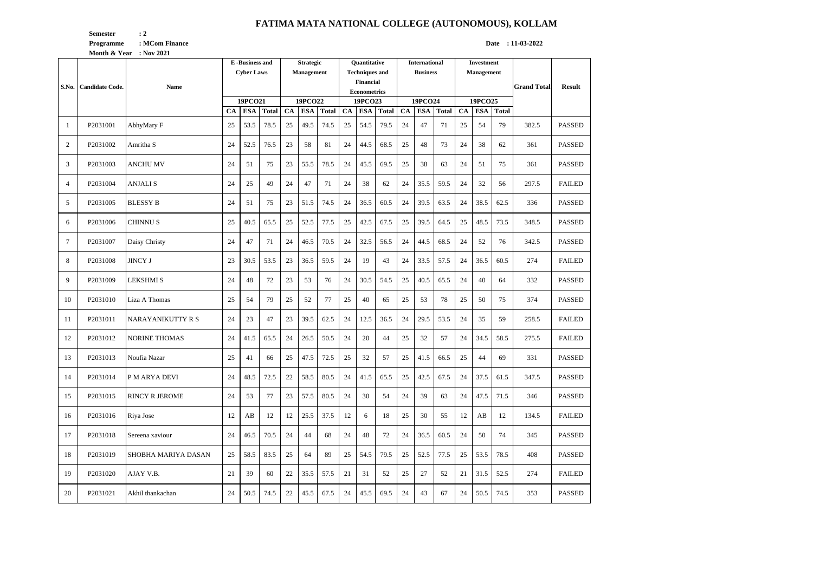## **FATIMA MATA NATIONAL COLLEGE (AUTONOMOUS), KOLLAM**

**Semester** : 2

**Month & Year** : Nov 2021

**Programme** : MCom Finance **Date : 11-03-2022** 

| S.No.          | <b>Candidate Code.</b> | Name                  | <b>E</b> -Business and<br><b>Cyber Laws</b> |                                                    |      | <b>Strategic</b><br><b>Management</b> |                                             |      | <b>Ouantitative</b><br><b>Techniques and</b><br><b>Financial</b><br><b>Econometrics</b> |                                                    |      | <b>International</b><br><b>Business</b> |                                             |      | <b>Investment</b><br>Management |                       |              | <b>Grand Total</b> | <b>Result</b> |
|----------------|------------------------|-----------------------|---------------------------------------------|----------------------------------------------------|------|---------------------------------------|---------------------------------------------|------|-----------------------------------------------------------------------------------------|----------------------------------------------------|------|-----------------------------------------|---------------------------------------------|------|---------------------------------|-----------------------|--------------|--------------------|---------------|
|                |                        |                       |                                             | 19PCO21<br><b>ESA</b><br><b>Total</b><br><b>CA</b> |      |                                       | 19PCO22<br>CA<br><b>Total</b><br><b>ESA</b> |      |                                                                                         | 19PCO23<br><b>ESA</b><br><b>Total</b><br><b>CA</b> |      |                                         | 19PCO24<br><b>ESA</b><br>CA<br><b>Total</b> |      |                                 | 19PCO25<br><b>ESA</b> | <b>Total</b> |                    |               |
| -1             | P2031001               | AbhyMary F            | 25                                          | 53.5                                               | 78.5 | 25                                    | 49.5                                        | 74.5 | 25                                                                                      | 54.5                                               | 79.5 | 24                                      | 47                                          | 71   | CA<br>25                        | 54                    | 79           | 382.5              | <b>PASSED</b> |
| 2              | P2031002               | Amritha S             | 24                                          | 52.5                                               | 76.5 | 23                                    | 58                                          | 81   | 24                                                                                      | 44.5                                               | 68.5 | 25                                      | 48                                          | 73   | 24                              | 38                    | 62           | 361                | <b>PASSED</b> |
| 3              | P2031003               | <b>ANCHU MV</b>       | 24                                          | 51                                                 | 75   | 23                                    | 55.5                                        | 78.5 | 24                                                                                      | 45.5                                               | 69.5 | 25                                      | 38                                          | 63   | 24                              | 51                    | 75           | 361                | <b>PASSED</b> |
| $\overline{4}$ | P2031004               | <b>ANJALIS</b>        | 24                                          | 25                                                 | 49   | 24                                    | 47                                          | 71   | 24                                                                                      | 38                                                 | 62   | 24                                      | 35.5                                        | 59.5 | 24                              | 32                    | 56           | 297.5              | <b>FAILED</b> |
| 5              | P2031005               | <b>BLESSY B</b>       | 24                                          | 51                                                 | 75   | 23                                    | 51.5                                        | 74.5 | 24                                                                                      | 36.5                                               | 60.5 | 24                                      | 39.5                                        | 63.5 | 24                              | 38.5                  | 62.5         | 336                | <b>PASSED</b> |
| 6              | P2031006               | <b>CHINNUS</b>        | 25                                          | 40.5                                               | 65.5 | 25                                    | 52.5                                        | 77.5 | 25                                                                                      | 42.5                                               | 67.5 | 25                                      | 39.5                                        | 64.5 | 25                              | 48.5                  | 73.5         | 348.5              | <b>PASSED</b> |
| 7              | P2031007               | Daisy Christy         | 24                                          | 47                                                 | 71   | 24                                    | 46.5                                        | 70.5 | 24                                                                                      | 32.5                                               | 56.5 | 24                                      | 44.5                                        | 68.5 | 24                              | 52                    | 76           | 342.5              | <b>PASSED</b> |
| 8              | P2031008               | <b>JINCY J</b>        | 23                                          | 30.5                                               | 53.5 | 23                                    | 36.5                                        | 59.5 | 24                                                                                      | 19                                                 | 43   | 24                                      | 33.5                                        | 57.5 | 24                              | 36.5                  | 60.5         | 274                | <b>FAILED</b> |
| 9              | P2031009               | <b>LEKSHMI S</b>      | 24                                          | 48                                                 | 72   | 23                                    | 53                                          | 76   | 24                                                                                      | 30.5                                               | 54.5 | 25                                      | 40.5                                        | 65.5 | 24                              | 40                    | 64           | 332                | <b>PASSED</b> |
| 10             | P2031010               | Liza A Thomas         | 25                                          | 54                                                 | 79   | 25                                    | 52                                          | 77   | 25                                                                                      | 40                                                 | 65   | 25                                      | 53                                          | 78   | 25                              | 50                    | 75           | 374                | <b>PASSED</b> |
| 11             | P2031011               | NARAYANIKUTTY R S     | 24                                          | 23                                                 | 47   | 23                                    | 39.5                                        | 62.5 | 24                                                                                      | 12.5                                               | 36.5 | 24                                      | 29.5                                        | 53.5 | 24                              | 35                    | 59           | 258.5              | <b>FAILED</b> |
| 12             | P2031012               | <b>NORINE THOMAS</b>  | 24                                          | 41.5                                               | 65.5 | 24                                    | 26.5                                        | 50.5 | 24                                                                                      | 20                                                 | 44   | 25                                      | 32                                          | 57   | 24                              | 34.5                  | 58.5         | 275.5              | <b>FAILED</b> |
| 13             | P2031013               | Noufia Nazar          | 25                                          | 41                                                 | 66   | 25                                    | 47.5                                        | 72.5 | 25                                                                                      | 32                                                 | 57   | 25                                      | 41.5                                        | 66.5 | 25                              | 44                    | 69           | 331                | <b>PASSED</b> |
| 14             | P2031014               | P M ARYA DEVI         | 24                                          | 48.5                                               | 72.5 | 22                                    | 58.5                                        | 80.5 | 24                                                                                      | 41.5                                               | 65.5 | 25                                      | 42.5                                        | 67.5 | 24                              | 37.5                  | 61.5         | 347.5              | <b>PASSED</b> |
| 15             | P2031015               | <b>RINCY R JEROME</b> | 24                                          | 53                                                 | 77   | 23                                    | 57.5                                        | 80.5 | 24                                                                                      | 30                                                 | 54   | 24                                      | 39                                          | 63   | 24                              | 47.5                  | 71.5         | 346                | <b>PASSED</b> |
| 16             | P2031016               | Riya Jose             | 12                                          | AB                                                 | 12   | 12                                    | 25.5                                        | 37.5 | 12                                                                                      | 6                                                  | 18   | 25                                      | 30                                          | 55   | 12                              | AB                    | 12           | 134.5              | <b>FAILED</b> |
| 17             | P2031018               | Sereena xaviour       | 24                                          | 46.5                                               | 70.5 | 24                                    | 44                                          | 68   | 24                                                                                      | 48                                                 | 72   | 24                                      | 36.5                                        | 60.5 | 24                              | 50                    | 74           | 345                | <b>PASSED</b> |
| 18             | P2031019               | SHOBHA MARIYA DASAN   | 25                                          | 58.5                                               | 83.5 | 25                                    | 64                                          | 89   | 25                                                                                      | 54.5                                               | 79.5 | 25                                      | 52.5                                        | 77.5 | 25                              | 53.5                  | 78.5         | 408                | <b>PASSED</b> |
| 19             | P2031020               | AJAY V.B.             | 21                                          | 39                                                 | 60   | 22                                    | 35.5                                        | 57.5 | 21                                                                                      | 31                                                 | 52   | 25                                      | 27                                          | 52   | 21                              | 31.5                  | 52.5         | 274                | <b>FAILED</b> |
| 20             | P2031021               | Akhil thankachan      | 24                                          | 50.5                                               | 74.5 | 22                                    | 45.5                                        | 67.5 | 24                                                                                      | 45.5                                               | 69.5 | 24                                      | 43                                          | 67   | 24                              | 50.5                  | 74.5         | 353                | <b>PASSED</b> |